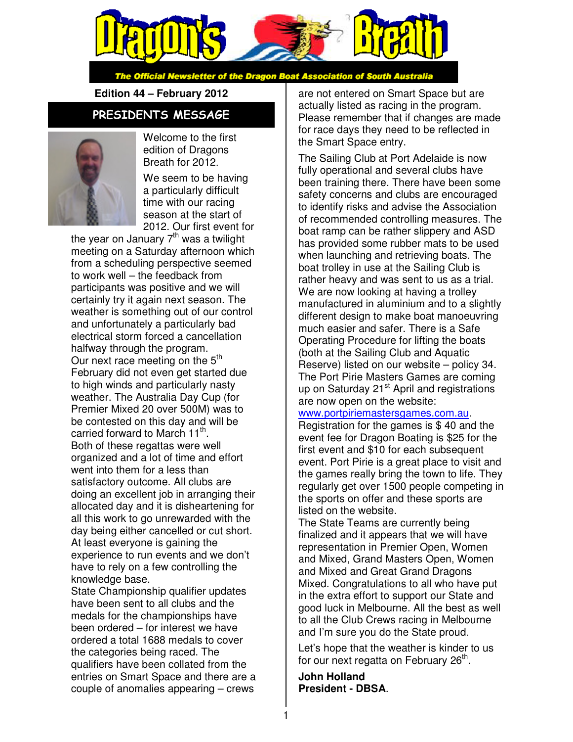

The Official Newsletter of the Dragon Boat Association of South Australia

**Edition 44 – February 2012** 

### PRESIDENTS MESSAGE



Welcome to the first edition of Dragons Breath for 2012.

We seem to be having a particularly difficult time with our racing season at the start of 2012. Our first event for

the year on January  $7<sup>th</sup>$  was a twilight meeting on a Saturday afternoon which from a scheduling perspective seemed to work well – the feedback from participants was positive and we will certainly try it again next season. The weather is something out of our control and unfortunately a particularly bad electrical storm forced a cancellation halfway through the program. Our next race meeting on the 5<sup>th</sup> February did not even get started due to high winds and particularly nasty weather. The Australia Day Cup (for Premier Mixed 20 over 500M) was to be contested on this day and will be carried forward to March 11<sup>th</sup>. Both of these regattas were well organized and a lot of time and effort went into them for a less than satisfactory outcome. All clubs are doing an excellent job in arranging their allocated day and it is disheartening for all this work to go unrewarded with the day being either cancelled or cut short. At least everyone is gaining the experience to run events and we don't have to rely on a few controlling the knowledge base.

State Championship qualifier updates have been sent to all clubs and the medals for the championships have been ordered – for interest we have ordered a total 1688 medals to cover the categories being raced. The qualifiers have been collated from the entries on Smart Space and there are a couple of anomalies appearing – crews

are not entered on Smart Space but are actually listed as racing in the program. Please remember that if changes are made for race days they need to be reflected in the Smart Space entry.

The Sailing Club at Port Adelaide is now fully operational and several clubs have been training there. There have been some safety concerns and clubs are encouraged to identify risks and advise the Association of recommended controlling measures. The boat ramp can be rather slippery and ASD has provided some rubber mats to be used when launching and retrieving boats. The boat trolley in use at the Sailing Club is rather heavy and was sent to us as a trial. We are now looking at having a trolley manufactured in aluminium and to a slightly different design to make boat manoeuvring much easier and safer. There is a Safe Operating Procedure for lifting the boats (both at the Sailing Club and Aquatic Reserve) listed on our website – policy 34. The Port Pirie Masters Games are coming up on Saturday  $21<sup>st</sup>$  April and registrations are now open on the website:

#### www.portpiriemastersgames.com.au.

Registration for the games is \$ 40 and the event fee for Dragon Boating is \$25 for the first event and \$10 for each subsequent event. Port Pirie is a great place to visit and the games really bring the town to life. They regularly get over 1500 people competing in the sports on offer and these sports are listed on the website.

The State Teams are currently being finalized and it appears that we will have representation in Premier Open, Women and Mixed, Grand Masters Open, Women and Mixed and Great Grand Dragons Mixed. Congratulations to all who have put in the extra effort to support our State and good luck in Melbourne. All the best as well to all the Club Crews racing in Melbourne and I'm sure you do the State proud.

Let's hope that the weather is kinder to us for our next regatta on February 26<sup>th</sup>.

**John Holland President - DBSA**.